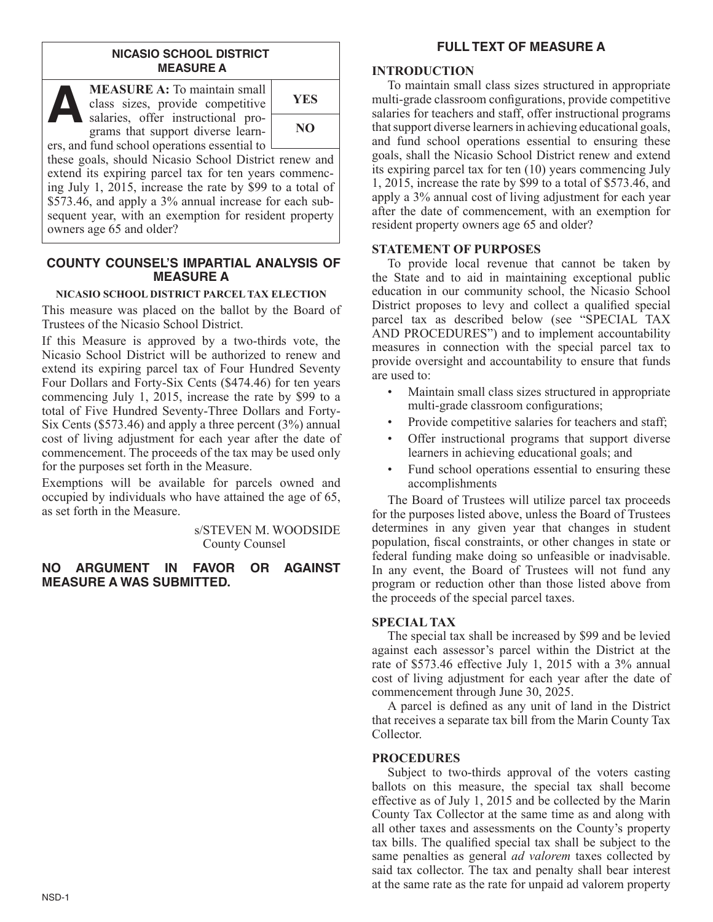### **NICASIO SCHOOL DISTRICT MEASURE A**



**MEASURE A:** To maintain small class sizes, provide competitive MEASURE A: To maintain small<br>class sizes, provide competitive<br>salaries, offer instructional pro-<br>grams that support diverse learn grams that support diverse learners, and fund school operations essential to

**NO**

these goals, should Nicasio School District renew and extend its expiring parcel tax for ten years commencing July 1, 2015, increase the rate by \$99 to a total of \$573.46, and apply a 3% annual increase for each subsequent year, with an exemption for resident property owners age 65 and older?

### **COUNTY COUNSEL'S IMPARTIAL ANALYSIS OF MEASURE A**

### **NICASIO SCHOOL DISTRICT PARCEL TAX ELECTION**

This measure was placed on the ballot by the Board of Trustees of the Nicasio School District.

If this Measure is approved by a two-thirds vote, the Nicasio School District will be authorized to renew and extend its expiring parcel tax of Four Hundred Seventy Four Dollars and Forty-Six Cents (\$474.46) for ten years commencing July 1, 2015, increase the rate by \$99 to a total of Five Hundred Seventy-Three Dollars and Forty-Six Cents (\$573.46) and apply a three percent (3%) annual cost of living adjustment for each year after the date of commencement. The proceeds of the tax may be used only for the purposes set forth in the Measure.

Exemptions will be available for parcels owned and occupied by individuals who have attained the age of 65, as set forth in the Measure.

> s/STEVEN M. WOODSIDE County Counsel

**NO ARGUMENT IN FAVOR OR AGAINST MEASURE A WAS SUBMITTED.**

# **FULL TEXT OF MEASURE A**

### **INTRODUCTION**

To maintain small class sizes structured in appropriate multi-grade classroom configurations, provide competitive salaries for teachers and staff, offer instructional programs that support diverse learners in achieving educational goals, and fund school operations essential to ensuring these goals, shall the Nicasio School District renew and extend its expiring parcel tax for ten (10) years commencing July 1, 2015, increase the rate by \$99 to a total of \$573.46, and apply a 3% annual cost of living adjustment for each year after the date of commencement, with an exemption for resident property owners age 65 and older?

# **STATEMENT OF PURPOSES**

To provide local revenue that cannot be taken by the State and to aid in maintaining exceptional public education in our community school, the Nicasio School District proposes to levy and collect a qualified special parcel tax as described below (see "SPECIAL TAX AND PROCEDURES") and to implement accountability measures in connection with the special parcel tax to provide oversight and accountability to ensure that funds are used to:

- Maintain small class sizes structured in appropriate multi-grade classroom configurations;
- Provide competitive salaries for teachers and staff;
- Offer instructional programs that support diverse learners in achieving educational goals; and
- Fund school operations essential to ensuring these accomplishments

The Board of Trustees will utilize parcel tax proceeds for the purposes listed above, unless the Board of Trustees determines in any given year that changes in student population, fiscal constraints, or other changes in state or federal funding make doing so unfeasible or inadvisable. In any event, the Board of Trustees will not fund any program or reduction other than those listed above from the proceeds of the special parcel taxes.

### **SPECIAL TAX**

The special tax shall be increased by \$99 and be levied against each assessor's parcel within the District at the rate of \$573.46 effective July 1, 2015 with a 3% annual cost of living adjustment for each year after the date of commencement through June 30, 2025.

A parcel is defined as any unit of land in the District that receives a separate tax bill from the Marin County Tax Collector.

# **PROCEDURES**

Subject to two-thirds approval of the voters casting ballots on this measure, the special tax shall become effective as of July 1, 2015 and be collected by the Marin County Tax Collector at the same time as and along with all other taxes and assessments on the County's property tax bills. The qualified special tax shall be subject to the same penalties as general *ad valorem* taxes collected by said tax collector. The tax and penalty shall bear interest at the same rate as the rate for unpaid ad valorem property